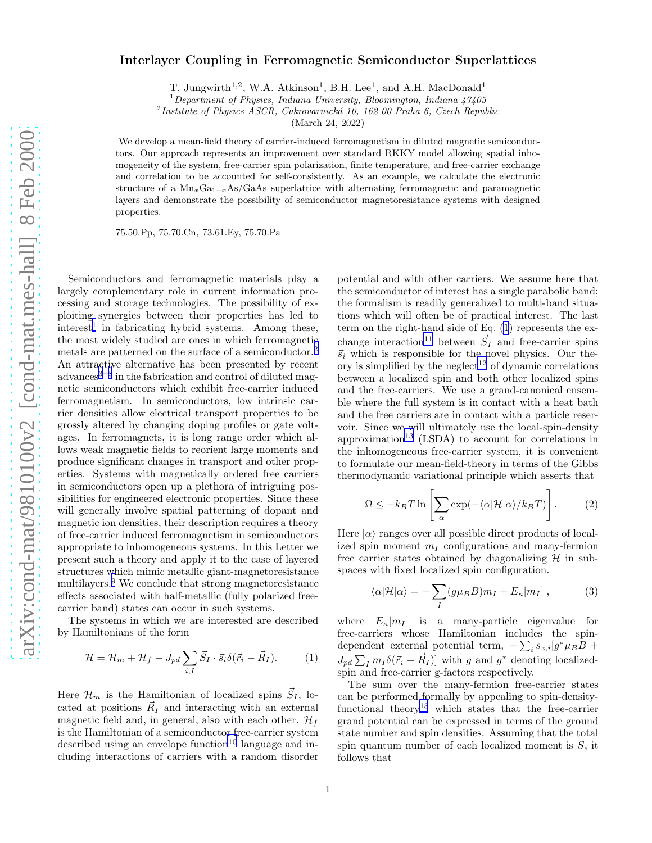## Interlayer Coupling in Ferromagnetic Semiconductor Superlattices

T. Jungwirth<sup>1,2</sup>, W.A. Atkinson<sup>1</sup>, B.H. Lee<sup>1</sup>, and A.H. MacDonald<sup>1</sup>

<sup>1</sup>*Department of Physics, Indiana University, Bloomington, Indiana 47405*

2 *Institute of Physics ASCR, Cukrovarnick´a 10, 162 00 Praha 6, Czech Republic*

(March 24, 2022)

We develop a mean-field theory of carrier-induced ferromagnetism in diluted magnetic semiconductors. Our approach represents an improvement over standard RKKY model allowing spatial inhomogeneity of the system, free-carrier spin polarization, finite temperature, and free-carrier exchange and correlation to be accounted for self-consistently. As an example, we calculate the electronic structure of a  $Mn_xGa_{1-x}As/GaAs$  superlattice with alternating ferromagnetic and paramagnetic layers and demonstrate the possibility of semiconductor magnetoresistance systems with designed properties.

75.50.Pp, 75.70.Cn, 73.61.Ey, 75.70.Pa

Semiconductors and ferromagnetic materials play a largely complementary role in current information processing and storage technologies. The possibility of exploiting synergies between their properties has led to  $interest<sup>1</sup>$  $interest<sup>1</sup>$  $interest<sup>1</sup>$  in fabricating hybrid systems. Among these, the most widely studied are ones in which ferromagnetic metals are patterned on the surface of a semiconductor.[2](#page-3-0) An attractive alternative has been presented by recent advances<sup>[3](#page-3-0)-[8](#page-3-0)</sup> in the fabrication and control of diluted magnetic semiconductors which exhibit free-carrier induced ferromagnetism. In semiconductors, low intrinsic carrier densities allow electrical transport properties to be grossly altered by changing doping profiles or gate voltages. In ferromagnets, it is long range order which allows weak magnetic fields to reorient large moments and produce significant changes in transport and other properties. Systems with magnetically ordered free carriers in semiconductors open up a plethora of intriguing possibilities for engineered electronic properties. Since these will generally involve spatial patterning of dopant and magnetic ion densities, their description requires a theory of free-carrier induced ferromagnetism in semiconductors appropriate to inhomogeneous systems. In this Letter we present such a theory and apply it to the case of layered structures which mimic metallic giant-magnetoresistance multilayers.[9](#page-3-0) We conclude that strong magnetoresistance effects associated with half-metallic (fully polarized freecarrier band) states can occur in such systems.

The systems in which we are interested are described by Hamiltonians of the form

$$
\mathcal{H} = \mathcal{H}_m + \mathcal{H}_f - J_{pd} \sum_{i,I} \vec{S}_I \cdot \vec{s}_i \delta(\vec{r}_i - \vec{R}_I). \tag{1}
$$

Here  $\mathcal{H}_m$  is the Hamiltonian of localized spins  $\vec{S}_I$ , located at positions  $\vec{R}_I$  and interacting with an external magnetic field and, in general, also with each other.  $\mathcal{H}_f$ is the Hamiltonian of a semiconductor free-carrier system described using an envelope function<sup>[10](#page-3-0)</sup> language and including interactions of carriers with a random disorder

potential and with other carriers. We assume here that the semiconductor of interest has a single parabolic band; the formalism is readily generalized to multi-band situations which will often be of practical interest. The last term on the right-hand side of Eq. (1) represents the ex-change interaction<sup>[11](#page-3-0)</sup> between  $\vec{S}_I$  and free-carrier spins  $\vec{s}_i$  which is responsible for the novel physics. Our the-ory is simplified by the neglect<sup>[12](#page-3-0)</sup> of dynamic correlations between a localized spin and both other localized spins and the free-carriers. We use a grand-canonical ensemble where the full system is in contact with a heat bath and the free carriers are in contact with a particle reservoir. Since we will ultimately use the local-spin-density approximation<sup>[13](#page-3-0)</sup> (LSDA) to account for correlations in the inhomogeneous free-carrier system, it is convenient to formulate our mean-field-theory in terms of the Gibbs thermodynamic variational principle which asserts that

$$
\Omega \le -k_B T \ln \left[ \sum_{\alpha} \exp(-\langle \alpha | \mathcal{H} | \alpha \rangle / k_B T) \right]. \tag{2}
$$

 $\overline{1}$ 

Here  $|\alpha\rangle$  ranges over all possible direct products of localized spin moment  $m<sub>I</sub>$  configurations and many-fermion free carrier states obtained by diagonalizing  $H$  in subspaces with fixed localized spin configuration.

$$
\langle \alpha | \mathcal{H} | \alpha \rangle = -\sum_{I} (g \mu_B B) m_I + E_{\kappa} [m_I] , \qquad (3)
$$

where  $E_{\kappa}[m_I]$  is a many-particle eigenvalue for free-carriers whose Hamiltonian includes the spindependent external potential term,  $-\sum_i s_{z,i} [g^* \mu_B B +$  $J_{pd} \sum_{I} m_{I} \delta(\vec{r}_i - \vec{R}_{I})$ ] with g and  $g^*$  denoting localizedspin and free-carrier g-factors respectively.

The sum over the many-fermion free-carrier states can be performed formally by appealing to spin-density-functional theory<sup>[13](#page-3-0)</sup> which states that the free-carrier grand potential can be expressed in terms of the ground state number and spin densities. Assuming that the total spin quantum number of each localized moment is S, it follows that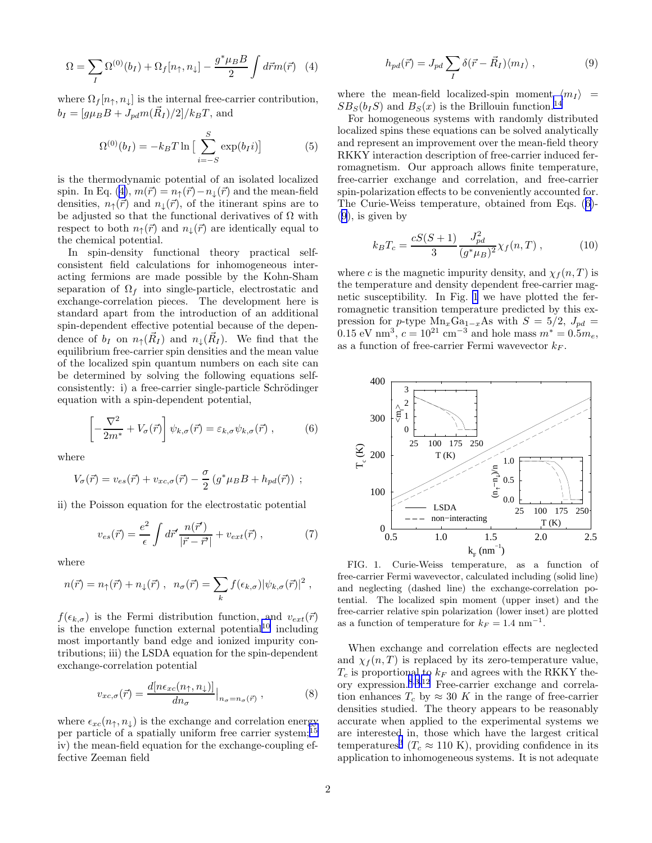<span id="page-1-0"></span>
$$
\Omega = \sum_{I} \Omega^{(0)}(b_{I}) + \Omega_{f}[n_{\uparrow}, n_{\downarrow}] - \frac{g^* \mu_B B}{2} \int d\vec{r} m(\vec{r}) \quad (4)
$$

where  $\Omega_f[n_\uparrow, n_\downarrow]$  is the internal free-carrier contribution,  $b_I = [g\mu_B B + J_{pd}m(\vec{R}_I)/2]/k_B T$ , and

$$
\Omega^{(0)}(b_I) = -k_B T \ln \left[ \sum_{i=-S}^{S} \exp(b_I i) \right]
$$
 (5)

is the thermodynamic potential of an isolated localized spin. In Eq. (4),  $m(\vec{r}) = n_{\uparrow}(\vec{r}) - n_{\downarrow}(\vec{r})$  and the mean-field densities,  $n_{\uparrow}(\vec{r})$  and  $n_{\downarrow}(\vec{r})$ , of the itinerant spins are to be adjusted so that the functional derivatives of  $\Omega$  with respect to both  $n_{\uparrow}(\vec{r})$  and  $n_{\downarrow}(\vec{r})$  are identically equal to the chemical potential.

In spin-density functional theory practical selfconsistent field calculations for inhomogeneous interacting fermions are made possible by the Kohn-Sham separation of  $\Omega_f$  into single-particle, electrostatic and exchange-correlation pieces. The development here is standard apart from the introduction of an additional spin-dependent effective potential because of the dependence of  $b_I$  on  $n_{\uparrow}(\vec{R}_I)$  and  $n_{\downarrow}(\vec{R}_I)$ . We find that the equilibrium free-carrier spin densities and the mean value of the localized spin quantum numbers on each site can be determined by solving the following equations selfconsistently: i) a free-carrier single-particle Schrödinger equation with a spin-dependent potential,

$$
\left[ -\frac{\nabla^2}{2m^*} + V_\sigma(\vec{r}) \right] \psi_{k,\sigma}(\vec{r}) = \varepsilon_{k,\sigma} \psi_{k,\sigma}(\vec{r}) , \qquad (6)
$$

where

$$
V_{\sigma}(\vec{r}) = v_{es}(\vec{r}) + v_{xc,\sigma}(\vec{r}) - \frac{\sigma}{2} \left( g^* \mu_B B + h_{pd}(\vec{r}) \right) ;
$$

ii) the Poisson equation for the electrostatic potential

$$
v_{es}(\vec{r}) = \frac{e^2}{\epsilon} \int d\vec{r}' \frac{n(\vec{r}')}{|\vec{r} - \vec{r}'|} + v_{ext}(\vec{r}) , \qquad (7)
$$

where

$$
n(\vec{r}) = n_{\uparrow}(\vec{r}) + n_{\downarrow}(\vec{r}) , \ \ n_{\sigma}(\vec{r}) = \sum_{k} f(\epsilon_{k,\sigma}) |\psi_{k,\sigma}(\vec{r})|^2 ,
$$

 $f(\epsilon_{k,\sigma})$  is the Fermi distribution function, and  $v_{ext}(\vec{r})$ is the envelope function external potential<sup>[10](#page-3-0)</sup> including most importantly band edge and ionized impurity contributions; iii) the LSDA equation for the spin-dependent exchange-correlation potential

$$
v_{xc,\sigma}(\vec{r}) = \frac{d[n\epsilon_{xc}(n_{\uparrow}, n_{\downarrow})]}{dn_{\sigma}}\Big|_{n_{\sigma}=n_{\sigma}(\vec{r})},
$$
\n(8)

where  $\epsilon_{xc}(n_{\uparrow}, n_{\downarrow})$  is the exchange and correlation energy per particle of a spatially uniform free carrier system;<sup>[15](#page-3-0)</sup> iv) the mean-field equation for the exchange-coupling effective Zeeman field

$$
h_{pd}(\vec{r}) = J_{pd} \sum_{I} \delta(\vec{r} - \vec{R}_I) \langle m_I \rangle , \qquad (9)
$$

where the mean-field localized-spin moment  $\langle m_I \rangle$  =  $SB_S(b_1S)$  and  $B_S(x)$  is the Brillouin function.<sup>[14](#page-3-0)</sup>

For homogeneous systems with randomly distributed localized spins these equations can be solved analytically and represent an improvement over the mean-field theory RKKY interaction description of free-carrier induced ferromagnetism. Our approach allows finite temperature, free-carrier exchange and correlation, and free-carrier spin-polarization effects to be conveniently accounted for. The Curie-Weiss temperature, obtained from Eqs. (6)- (9), is given by

$$
k_B T_c = \frac{cS(S+1)}{3} \frac{J_{pd}^2}{(g^*\mu_B)^2} \chi_f(n,T) , \qquad (10)
$$

where c is the magnetic impurity density, and  $\chi_f(n,T)$  is the temperature and density dependent free-carrier magnetic susceptibility. In Fig. 1 we have plotted the ferromagnetic transition temperature predicted by this expression for p-type  $Mn_xGa_{1-x}As$  with  $S = 5/2$ ,  $J_{pd} =$ 0.15 eV nm<sup>3</sup>,  $c = 10^{21}$  cm<sup>-3</sup> and hole mass  $m^* = 0.5 m_e$ , as a function of free-carrier Fermi wavevector  $k_F$ .



FIG. 1. Curie-Weiss temperature, as a function of free-carrier Fermi wavevector, calculated including (solid line) and neglecting (dashed line) the exchange-correlation potential. The localized spin moment (upper inset) and the free-carrier relative spin polarization (lower inset) are plotted as a function of temperature for  $k_F = 1.4$  nm<sup>-1</sup>.

When exchange and correlation effects are neglected and  $\chi_f(n,T)$  is replaced by its zero-temperature value,  $T_c$  is proportional to  $k_F$  and agrees with the RKKY theory expression.[8](#page-3-0),[3](#page-3-0),[12](#page-3-0) Free-carrier exchange and correlation enhances  $T_c$  by  $\approx 30$  K in the range of free-carrier densities studied. The theory appears to be reasonably accurate when applied to the experimental systems we are interested in, those which have the largest critical temperatures<sup>[3](#page-3-0)</sup> ( $T_c \approx 110 \text{ K}$ ), providing confidence in its application to inhomogeneous systems. It is not adequate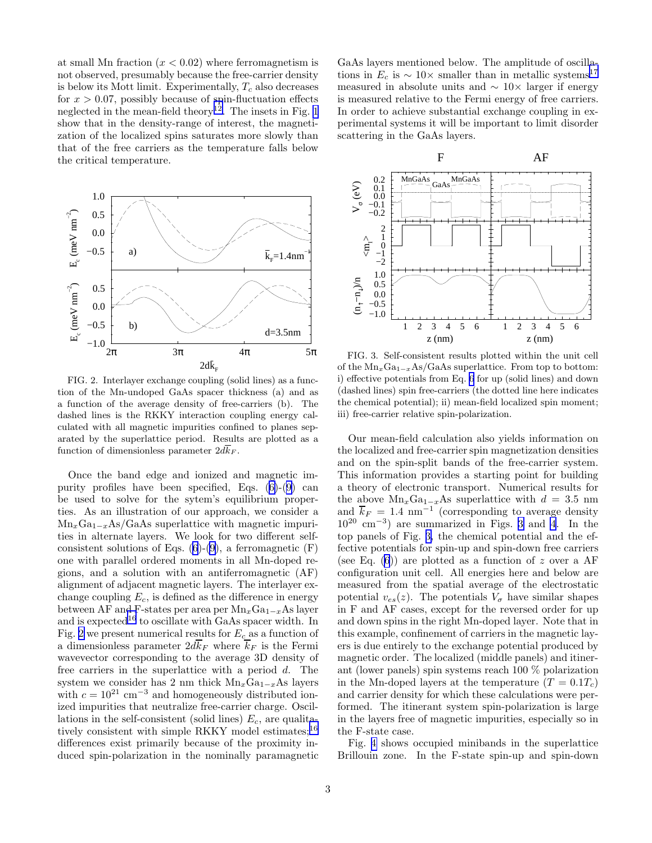at small Mn fraction  $(x < 0.02)$  where ferromagnetism is not observed, presumably because the free-carrier density is below its Mott limit. Experimentally,  $T_c$  also decreases for  $x > 0.07$ , possibly because of spin-fluctuation effects neglected in the mean-field theory<sup>[12](#page-3-0)</sup>. The insets in Fig. [1](#page-1-0) show that in the density-range of interest, the magnetization of the localized spins saturates more slowly than that of the free carriers as the temperature falls below the critical temperature.



FIG. 2. Interlayer exchange coupling (solid lines) as a function of the Mn-undoped GaAs spacer thickness (a) and as a function of the average density of free-carriers (b). The dashed lines is the RKKY interaction coupling energy calculated with all magnetic impurities confined to planes separated by the superlattice period. Results are plotted as a function of dimensionless parameter  $2d\bar{k}_F$ .

Once the band edge and ionized and magnetic impurity profiles have been specified, Eqs.([6\)](#page-1-0)-([9\)](#page-1-0) can be used to solve for the sytem's equilibrium properties. As an illustration of our approach, we consider a  $Mn<sub>x</sub>Ga<sub>1-x</sub>As/GaAs superlattice with magnetic impuri$ ties in alternate layers. We look for two different selfconsistent solutions of Eqs.  $(6)-(9)$  $(6)-(9)$  $(6)-(9)$ , a ferromagnetic  $(F)$ one with parallel ordered moments in all Mn-doped regions, and a solution with an antiferromagnetic (AF) alignment of adjacent magnetic layers. The interlayer exchange coupling  $E_c$ , is defined as the difference in energy between AF and F-states per area per  $Mn_xGa_{1-x}As$  layer and is expected<sup>[16](#page-3-0)</sup> to oscillate with GaAs spacer width. In Fig. 2 we present numerical results for  $E_c$  as a function of a dimensionless parameter  $2d k_F$  where  $k_F$  is the Fermi wavevector corresponding to the average 3D density of free carriers in the superlattice with a period d. The system we consider has 2 nm thick  $Mn_xGa_{1-x}As$  layers with  $c = 10^{21}$  cm<sup>-3</sup> and homogeneously distributed ionized impurities that neutralize free-carrier charge. Oscillations in the self-consistent (solid lines)  $E_c$ , are qualita-tively consistent with simple RKKY model estimates;<sup>[16](#page-3-0)</sup> differences exist primarily because of the proximity induced spin-polarization in the nominally paramagnetic

GaAs layers mentioned below. The amplitude of oscillations in  $E_c$  is  $\sim 10 \times$  smaller than in metallic systems<sup>[17](#page-3-0)</sup> measured in absolute units and  $\sim 10\times$  larger if energy is measured relative to the Fermi energy of free carriers. In order to achieve substantial exchange coupling in experimental systems it will be important to limit disorder scattering in the GaAs layers.



FIG. 3. Self-consistent results plotted within the unit cell of the  $Mn_xGa_{1-x}As/GaAs$  superlattice. From top to bottom: i) effective potentials from Eq. [6](#page-1-0) for up (solid lines) and down (dashed lines) spin free-carriers (the dotted line here indicates the chemical potential); ii) mean-field localized spin moment; iii) free-carrier relative spin-polarization.

Our mean-field calculation also yields information on the localized and free-carrier spin magnetization densities and on the spin-split bands of the free-carrier system. This information provides a starting point for building a theory of electronic transport. Numerical results for the above  $Mn_xGa_{1-x}As$  superlattice with  $d = 3.5$  nm and  $\overline{k}_F = 1.4$  nm<sup>-1</sup> (corresponding to average density 10<sup>20</sup> cm<sup>−</sup><sup>3</sup> ) are summarized in Figs. 3 and [4](#page-3-0). In the top panels of Fig. 3, the chemical potential and the effective potentials for spin-up and spin-down free carriers (see Eq.  $(6)$ ) are plotted as a function of z over a AF configuration unit cell. All energies here and below are measured from the spatial average of the electrostatic potential  $v_{es}(z)$ . The potentials  $V_{\sigma}$  have similar shapes in F and AF cases, except for the reversed order for up and down spins in the right Mn-doped layer. Note that in this example, confinement of carriers in the magnetic layers is due entirely to the exchange potential produced by magnetic order. The localized (middle panels) and itinerant (lower panels) spin systems reach 100 % polarization in the Mn-doped layers at the temperature  $(T = 0.1T_c)$ and carrier density for which these calculations were performed. The itinerant system spin-polarization is large in the layers free of magnetic impurities, especially so in the F-state case.

Fig. [4](#page-3-0) shows occupied minibands in the superlattice Brillouin zone. In the F-state spin-up and spin-down